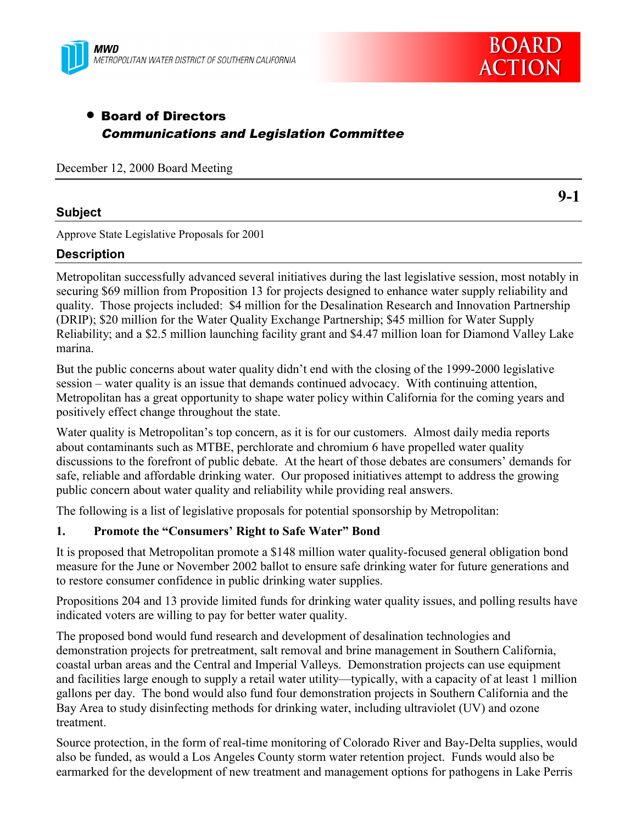



# • Board of Directors Communications and Legislation Committee

December 12, 2000 Board Meeting

## **Subject**

**9-1**

Approve State Legislative Proposals for 2001

# **Description**

Metropolitan successfully advanced several initiatives during the last legislative session, most notably in securing \$69 million from Proposition 13 for projects designed to enhance water supply reliability and quality. Those projects included: \$4 million for the Desalination Research and Innovation Partnership (DRIP); \$20 million for the Water Quality Exchange Partnership; \$45 million for Water Supply Reliability; and a \$2.5 million launching facility grant and \$4.47 million loan for Diamond Valley Lake marina.

But the public concerns about water quality didn't end with the closing of the 1999-2000 legislative session – water quality is an issue that demands continued advocacy. With continuing attention, Metropolitan has a great opportunity to shape water policy within California for the coming years and positively effect change throughout the state.

Water quality is Metropolitan's top concern, as it is for our customers. Almost daily media reports about contaminants such as MTBE, perchlorate and chromium 6 have propelled water quality discussions to the forefront of public debate. At the heart of those debates are consumers' demands for safe, reliable and affordable drinking water. Our proposed initiatives attempt to address the growing public concern about water quality and reliability while providing real answers.

The following is a list of legislative proposals for potential sponsorship by Metropolitan:

# **1. Promote the "Consumers' Right to Safe Water" Bond**

It is proposed that Metropolitan promote a \$148 million water quality-focused general obligation bond measure for the June or November 2002 ballot to ensure safe drinking water for future generations and to restore consumer confidence in public drinking water supplies.

Propositions 204 and 13 provide limited funds for drinking water quality issues, and polling results have indicated voters are willing to pay for better water quality.

The proposed bond would fund research and development of desalination technologies and demonstration projects for pretreatment, salt removal and brine management in Southern California, coastal urban areas and the Central and Imperial Valleys. Demonstration projects can use equipment and facilities large enough to supply a retail water utility—typically, with a capacity of at least 1 million gallons per day. The bond would also fund four demonstration projects in Southern California and the Bay Area to study disinfecting methods for drinking water, including ultraviolet (UV) and ozone treatment.

Source protection, in the form of real-time monitoring of Colorado River and Bay-Delta supplies, would also be funded, as would a Los Angeles County storm water retention project. Funds would also be earmarked for the development of new treatment and management options for pathogens in Lake Perris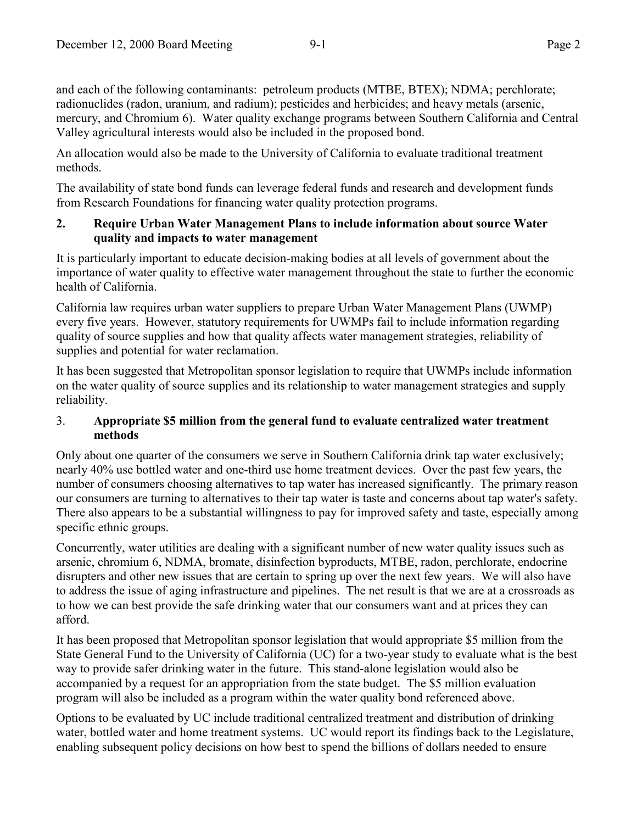and each of the following contaminants: petroleum products (MTBE, BTEX); NDMA; perchlorate; radionuclides (radon, uranium, and radium); pesticides and herbicides; and heavy metals (arsenic, mercury, and Chromium 6). Water quality exchange programs between Southern California and Central Valley agricultural interests would also be included in the proposed bond.

An allocation would also be made to the University of California to evaluate traditional treatment methods.

The availability of state bond funds can leverage federal funds and research and development funds from Research Foundations for financing water quality protection programs.

# **2. Require Urban Water Management Plans to include information about source Water quality and impacts to water management**

It is particularly important to educate decision-making bodies at all levels of government about the importance of water quality to effective water management throughout the state to further the economic health of California.

California law requires urban water suppliers to prepare Urban Water Management Plans (UWMP) every five years. However, statutory requirements for UWMPs fail to include information regarding quality of source supplies and how that quality affects water management strategies, reliability of supplies and potential for water reclamation.

It has been suggested that Metropolitan sponsor legislation to require that UWMPs include information on the water quality of source supplies and its relationship to water management strategies and supply reliability.

# 3. **Appropriate \$5 million from the general fund to evaluate centralized water treatment methods**

Only about one quarter of the consumers we serve in Southern California drink tap water exclusively; nearly 40% use bottled water and one-third use home treatment devices. Over the past few years, the number of consumers choosing alternatives to tap water has increased significantly. The primary reason our consumers are turning to alternatives to their tap water is taste and concerns about tap water's safety. There also appears to be a substantial willingness to pay for improved safety and taste, especially among specific ethnic groups.

Concurrently, water utilities are dealing with a significant number of new water quality issues such as arsenic, chromium 6, NDMA, bromate, disinfection byproducts, MTBE, radon, perchlorate, endocrine disrupters and other new issues that are certain to spring up over the next few years. We will also have to address the issue of aging infrastructure and pipelines. The net result is that we are at a crossroads as to how we can best provide the safe drinking water that our consumers want and at prices they can afford.

It has been proposed that Metropolitan sponsor legislation that would appropriate \$5 million from the State General Fund to the University of California (UC) for a two-year study to evaluate what is the best way to provide safer drinking water in the future. This stand-alone legislation would also be accompanied by a request for an appropriation from the state budget. The \$5 million evaluation program will also be included as a program within the water quality bond referenced above.

Options to be evaluated by UC include traditional centralized treatment and distribution of drinking water, bottled water and home treatment systems. UC would report its findings back to the Legislature, enabling subsequent policy decisions on how best to spend the billions of dollars needed to ensure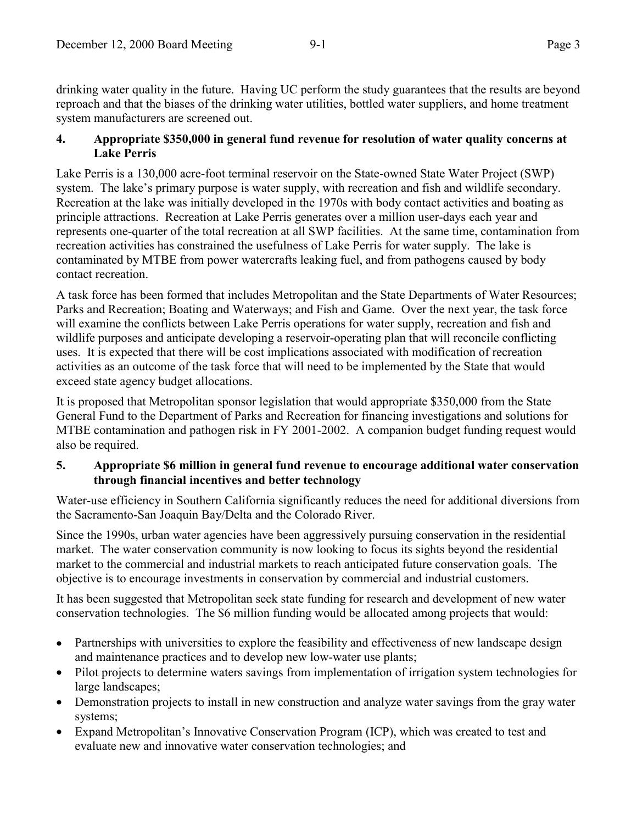drinking water quality in the future. Having UC perform the study guarantees that the results are beyond reproach and that the biases of the drinking water utilities, bottled water suppliers, and home treatment system manufacturers are screened out.

# **4. Appropriate \$350,000 in general fund revenue for resolution of water quality concerns at Lake Perris**

Lake Perris is a 130,000 acre-foot terminal reservoir on the State-owned State Water Project (SWP) system. The lake's primary purpose is water supply, with recreation and fish and wildlife secondary. Recreation at the lake was initially developed in the 1970s with body contact activities and boating as principle attractions. Recreation at Lake Perris generates over a million user-days each year and represents one-quarter of the total recreation at all SWP facilities. At the same time, contamination from recreation activities has constrained the usefulness of Lake Perris for water supply. The lake is contaminated by MTBE from power watercrafts leaking fuel, and from pathogens caused by body contact recreation.

A task force has been formed that includes Metropolitan and the State Departments of Water Resources; Parks and Recreation; Boating and Waterways; and Fish and Game. Over the next year, the task force will examine the conflicts between Lake Perris operations for water supply, recreation and fish and wildlife purposes and anticipate developing a reservoir-operating plan that will reconcile conflicting uses. It is expected that there will be cost implications associated with modification of recreation activities as an outcome of the task force that will need to be implemented by the State that would exceed state agency budget allocations.

It is proposed that Metropolitan sponsor legislation that would appropriate \$350,000 from the State General Fund to the Department of Parks and Recreation for financing investigations and solutions for MTBE contamination and pathogen risk in FY 2001-2002. A companion budget funding request would also be required.

# **5. Appropriate \$6 million in general fund revenue to encourage additional water conservation through financial incentives and better technology**

Water-use efficiency in Southern California significantly reduces the need for additional diversions from the Sacramento-San Joaquin Bay/Delta and the Colorado River.

Since the 1990s, urban water agencies have been aggressively pursuing conservation in the residential market. The water conservation community is now looking to focus its sights beyond the residential market to the commercial and industrial markets to reach anticipated future conservation goals. The objective is to encourage investments in conservation by commercial and industrial customers.

It has been suggested that Metropolitan seek state funding for research and development of new water conservation technologies. The \$6 million funding would be allocated among projects that would:

- Partnerships with universities to explore the feasibility and effectiveness of new landscape design and maintenance practices and to develop new low-water use plants;
- Pilot projects to determine waters savings from implementation of irrigation system technologies for large landscapes;
- Demonstration projects to install in new construction and analyze water savings from the gray water systems;
- Expand Metropolitan's Innovative Conservation Program (ICP), which was created to test and evaluate new and innovative water conservation technologies; and